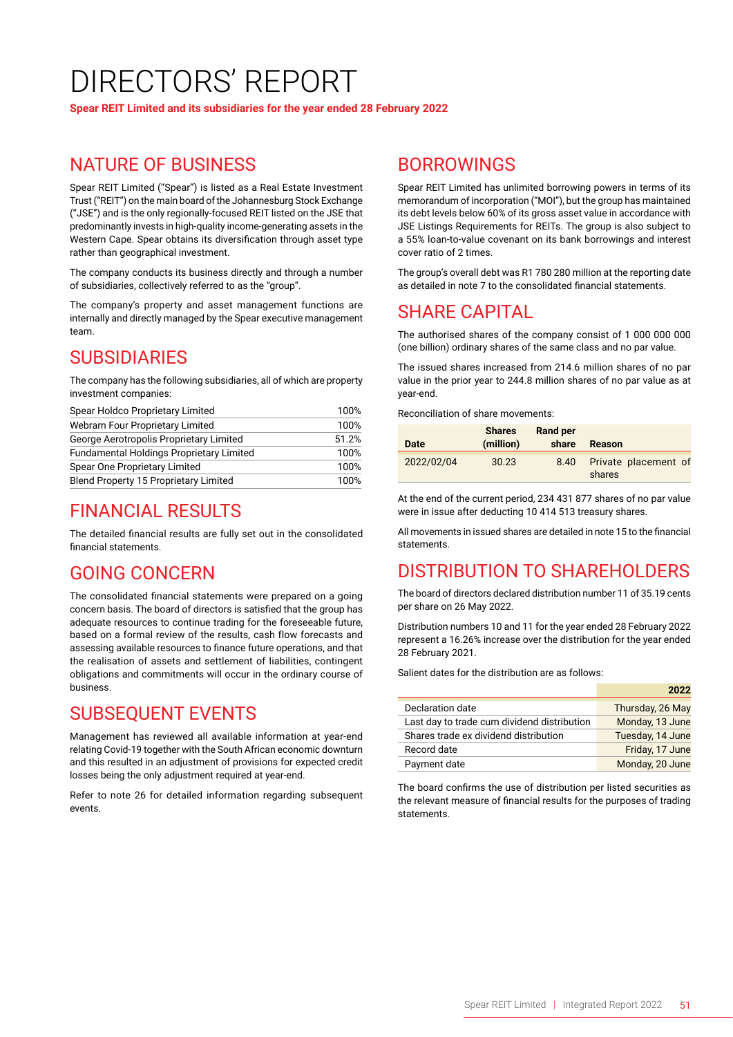# DIRECTORS' REPORT

**Spear REIT Limited and its subsidiaries for the year ended 28 February 2022**

## NATURE OF BUSINESS

Spear REIT Limited ("Spear") is listed as a Real Estate Investment Trust ("REIT") on the main board of the Johannesburg Stock Exchange ("JSE") and is the only regionally-focused REIT listed on the JSE that predominantly invests in high-quality income-generating assets in the Western Cape. Spear obtains its diversification through asset type rather than geographical investment.

The company conducts its business directly and through a number of subsidiaries, collectively referred to as the "group".

The company's property and asset management functions are internally and directly managed by the Spear executive management team.

### SUBSIDIARIES

The company has the following subsidiaries, all of which are property investment companies:

| Spear Holdco Proprietary Limited                | 100%  |  |
|-------------------------------------------------|-------|--|
| Webram Four Proprietary Limited                 | 100%  |  |
| George Aerotropolis Proprietary Limited         | 51.2% |  |
| <b>Fundamental Holdings Proprietary Limited</b> | 100%  |  |
| Spear One Proprietary Limited                   | 100%  |  |
| <b>Blend Property 15 Proprietary Limited</b>    | 100%  |  |

# FINANCIAL RESULTS

The detailed financial results are fully set out in the consolidated financial statements.

# GOING CONCERN

The consolidated financial statements were prepared on a going concern basis. The board of directors is satisfied that the group has adequate resources to continue trading for the foreseeable future, based on a formal review of the results, cash flow forecasts and assessing available resources to finance future operations, and that the realisation of assets and settlement of liabilities, contingent obligations and commitments will occur in the ordinary course of business.

# SUBSEQUENT EVENTS

Management has reviewed all available information at year-end relating Covid-19 together with the South African economic downturn and this resulted in an adjustment of provisions for expected credit losses being the only adjustment required at year-end.

Refer to note 26 for detailed information regarding subsequent events.

## BORROWINGS

Spear REIT Limited has unlimited borrowing powers in terms of its memorandum of incorporation ("MOI"), but the group has maintained its debt levels below 60% of its gross asset value in accordance with JSE Listings Requirements for REITs. The group is also subject to a 55% loan-to-value covenant on its bank borrowings and interest cover ratio of 2 times.

The group's overall debt was R1 780 280 million at the reporting date as detailed in note 7 to the consolidated financial statements.

# SHARE CAPITAL

The authorised shares of the company consist of 1 000 000 000 (one billion) ordinary shares of the same class and no par value.

The issued shares increased from 214.6 million shares of no par value in the prior year to 244.8 million shares of no par value as at year-end.

Reconciliation of share movements:

| <b>Date</b> | <b>Shares</b><br>(million) | <b>Rand per</b><br>share | <b>Reason</b>                  |
|-------------|----------------------------|--------------------------|--------------------------------|
| 2022/02/04  | 30.23                      | 8.40                     | Private placement of<br>shares |

At the end of the current period, 234 431 877 shares of no par value were in issue after deducting 10 414 513 treasury shares.

All movements in issued shares are detailed in note 15 to the financial statements.

# DISTRIBUTION TO SHAREHOLDERS

The board of directors declared distribution number 11 of 35.19 cents per share on 26 May 2022.

Distribution numbers 10 and 11 for the year ended 28 February 2022 represent a 16.26% increase over the distribution for the year ended 28 February 2021.

Salient dates for the distribution are as follows:

|                                             | 2022             |
|---------------------------------------------|------------------|
| Declaration date                            | Thursday, 26 May |
| Last day to trade cum dividend distribution | Monday, 13 June  |
| Shares trade ex dividend distribution       | Tuesday, 14 June |
| Record date                                 | Friday, 17 June  |
| Payment date                                | Monday, 20 June  |

The board confirms the use of distribution per listed securities as the relevant measure of financial results for the purposes of trading statements.